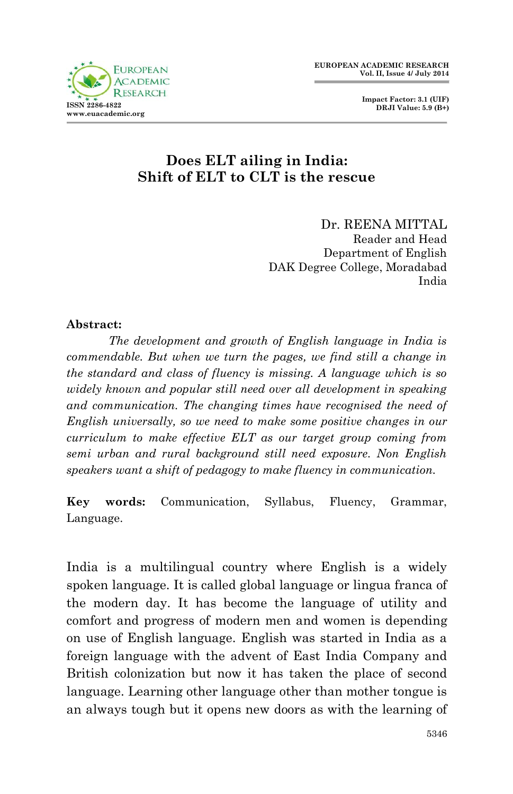

# **Does ELT ailing in India: Shift of ELT to CLT is the rescue**

Dr. REENA MITTAL Reader and Head Department of English DAK Degree College, Moradabad India

#### **Abstract:**

*The development and growth of English language in India is commendable. But when we turn the pages, we find still a change in the standard and class of fluency is missing. A language which is so widely known and popular still need over all development in speaking and communication. The changing times have recognised the need of English universally, so we need to make some positive changes in our curriculum to make effective ELT as our target group coming from semi urban and rural background still need exposure. Non English speakers want a shift of pedagogy to make fluency in communication.*

**Key words:** Communication, Syllabus, Fluency, Grammar, Language.

India is a multilingual country where English is a widely spoken language. It is called global language or lingua franca of the modern day. It has become the language of utility and comfort and progress of modern men and women is depending on use of English language. English was started in India as a foreign language with the advent of East India Company and British colonization but now it has taken the place of second language. Learning other language other than mother tongue is an always tough but it opens new doors as with the learning of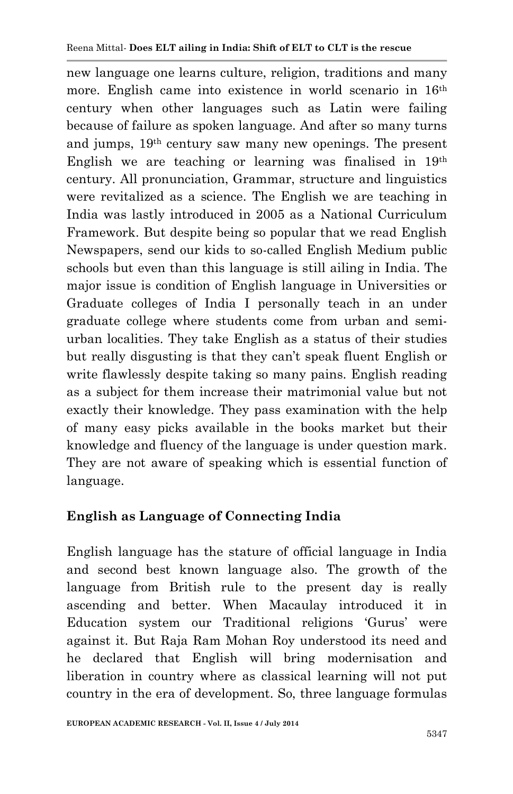new language one learns culture, religion, traditions and many more. English came into existence in world scenario in 16th century when other languages such as Latin were failing because of failure as spoken language. And after so many turns and jumps, 19th century saw many new openings. The present English we are teaching or learning was finalised in 19th century. All pronunciation, Grammar, structure and linguistics were revitalized as a science. The English we are teaching in India was lastly introduced in 2005 as a National Curriculum Framework. But despite being so popular that we read English Newspapers, send our kids to so-called English Medium public schools but even than this language is still ailing in India. The major issue is condition of English language in Universities or Graduate colleges of India I personally teach in an under graduate college where students come from urban and semiurban localities. They take English as a status of their studies but really disgusting is that they can't speak fluent English or write flawlessly despite taking so many pains. English reading as a subject for them increase their matrimonial value but not exactly their knowledge. They pass examination with the help of many easy picks available in the books market but their knowledge and fluency of the language is under question mark. They are not aware of speaking which is essential function of language.

## **English as Language of Connecting India**

English language has the stature of official language in India and second best known language also. The growth of the language from British rule to the present day is really ascending and better. When Macaulay introduced it in Education system our Traditional religions 'Gurus' were against it. But Raja Ram Mohan Roy understood its need and he declared that English will bring modernisation and liberation in country where as classical learning will not put country in the era of development. So, three language formulas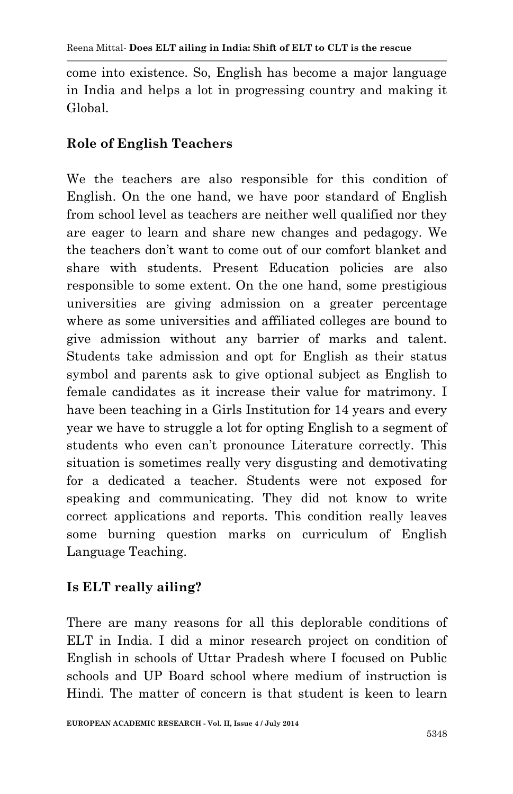come into existence. So, English has become a major language in India and helps a lot in progressing country and making it Global.

#### **Role of English Teachers**

We the teachers are also responsible for this condition of English. On the one hand, we have poor standard of English from school level as teachers are neither well qualified nor they are eager to learn and share new changes and pedagogy. We the teachers don't want to come out of our comfort blanket and share with students. Present Education policies are also responsible to some extent. On the one hand, some prestigious universities are giving admission on a greater percentage where as some universities and affiliated colleges are bound to give admission without any barrier of marks and talent. Students take admission and opt for English as their status symbol and parents ask to give optional subject as English to female candidates as it increase their value for matrimony. I have been teaching in a Girls Institution for 14 years and every year we have to struggle a lot for opting English to a segment of students who even can't pronounce Literature correctly. This situation is sometimes really very disgusting and demotivating for a dedicated a teacher. Students were not exposed for speaking and communicating. They did not know to write correct applications and reports. This condition really leaves some burning question marks on curriculum of English Language Teaching.

## **Is ELT really ailing?**

There are many reasons for all this deplorable conditions of ELT in India. I did a minor research project on condition of English in schools of Uttar Pradesh where I focused on Public schools and UP Board school where medium of instruction is Hindi. The matter of concern is that student is keen to learn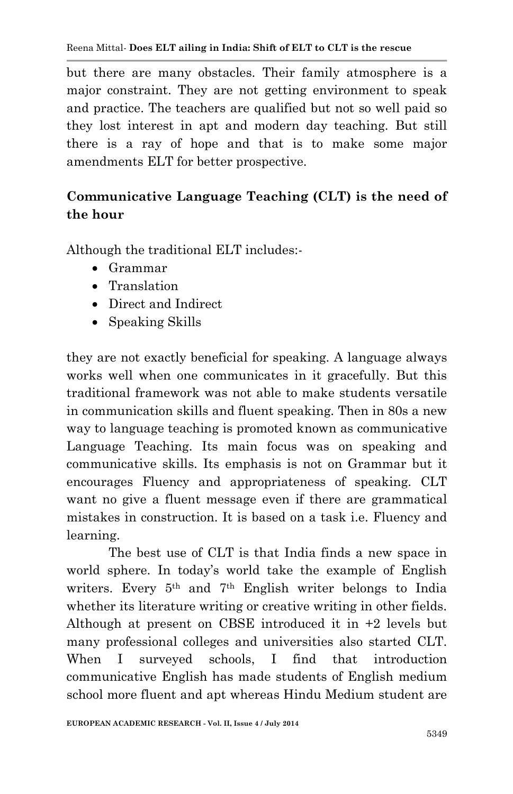but there are many obstacles. Their family atmosphere is a major constraint. They are not getting environment to speak and practice. The teachers are qualified but not so well paid so they lost interest in apt and modern day teaching. But still there is a ray of hope and that is to make some major amendments ELT for better prospective.

# **Communicative Language Teaching (CLT) is the need of the hour**

Although the traditional ELT includes:-

- Grammar
- Translation
- Direct and Indirect
- Speaking Skills

they are not exactly beneficial for speaking. A language always works well when one communicates in it gracefully. But this traditional framework was not able to make students versatile in communication skills and fluent speaking. Then in 80s a new way to language teaching is promoted known as communicative Language Teaching. Its main focus was on speaking and communicative skills. Its emphasis is not on Grammar but it encourages Fluency and appropriateness of speaking. CLT want no give a fluent message even if there are grammatical mistakes in construction. It is based on a task i.e. Fluency and learning.

The best use of CLT is that India finds a new space in world sphere. In today's world take the example of English writers. Every 5th and 7th English writer belongs to India whether its literature writing or creative writing in other fields. Although at present on CBSE introduced it in +2 levels but many professional colleges and universities also started CLT. When I surveyed schools, I find that introduction communicative English has made students of English medium school more fluent and apt whereas Hindu Medium student are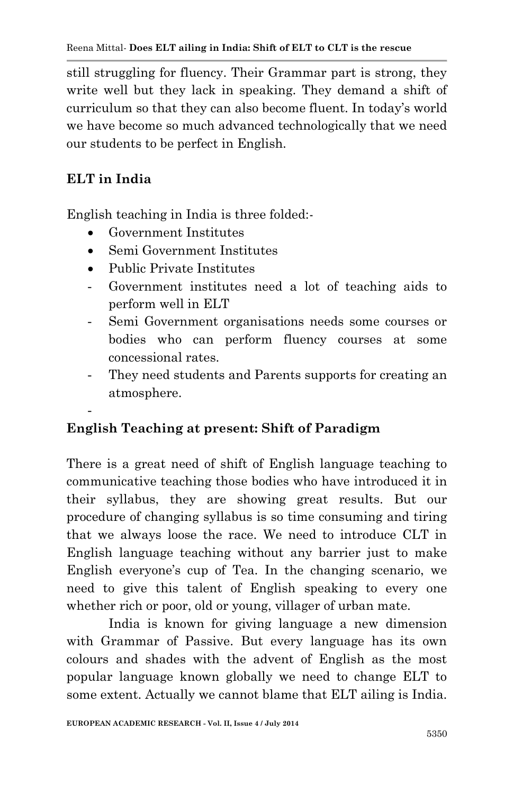still struggling for fluency. Their Grammar part is strong, they write well but they lack in speaking. They demand a shift of curriculum so that they can also become fluent. In today's world we have become so much advanced technologically that we need our students to be perfect in English.

# **ELT in India**

-

English teaching in India is three folded:-

- Government Institutes
- Semi Government Institutes
- Public Private Institutes
- Government institutes need a lot of teaching aids to perform well in ELT
- Semi Government organisations needs some courses or bodies who can perform fluency courses at some concessional rates.
- They need students and Parents supports for creating an atmosphere.

# **English Teaching at present: Shift of Paradigm**

There is a great need of shift of English language teaching to communicative teaching those bodies who have introduced it in their syllabus, they are showing great results. But our procedure of changing syllabus is so time consuming and tiring that we always loose the race. We need to introduce CLT in English language teaching without any barrier just to make English everyone's cup of Tea. In the changing scenario, we need to give this talent of English speaking to every one whether rich or poor, old or young, villager of urban mate.

India is known for giving language a new dimension with Grammar of Passive. But every language has its own colours and shades with the advent of English as the most popular language known globally we need to change ELT to some extent. Actually we cannot blame that ELT ailing is India.